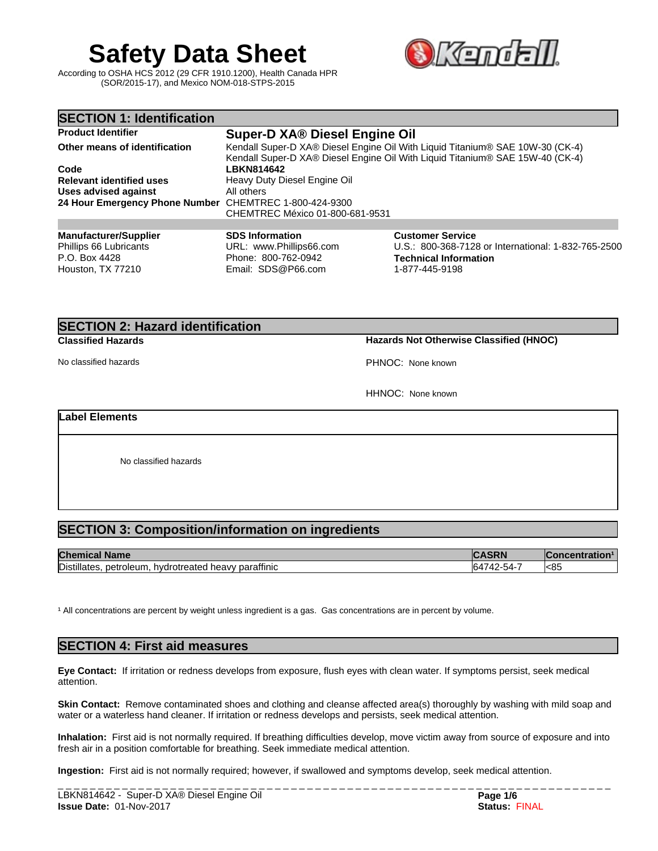# **Safety Data Sheet SAL STEE**

According to OSHA HCS 2012 (29 CFR 1910.1200), Health Canada HPR (SOR/2015-17), and Mexico NOM-018-STPS-2015



# **SECTION 2: Hazard identification**

**Classified Hazards Hazards Not Otherwise Classified (HNOC)**

No classified hazards PHNOC: None known

HHNOC: None known

# **Label Elements**

No classified hazards

# **SECTION 3: Composition/information on ingredients**

| <b>Chem</b><br>∣ Name<br>ncar                                                      | ENN                 | oncentration |
|------------------------------------------------------------------------------------|---------------------|--------------|
| Distillates,<br><br><sup>'</sup> paraffinic<br>petroleum.<br>hydrotreated<br>heavy | . 42-54-1<br>$\sim$ | l<85         |

<sup>1</sup> All concentrations are percent by weight unless ingredient is a gas. Gas concentrations are in percent by volume.

# **SECTION 4: First aid measures**

**Eye Contact:** Ifirritation or redness develops from exposure, flush eyes with clean water. If symptoms persist, seek medical attention.

**Skin Contact:** Remove contaminated shoes and clothing and cleanse affected area(s) thoroughly by washing with mild soap and water or a waterless hand cleaner. If irritation or redness develops and persists, seek medical attention.

**Inhalation:** First aid is not normally required. If breathing difficulties develop, move victim away from source of exposure and into fresh air in a position comfortable for breathing. Seek immediate medical attention.

**Ingestion:** First aid is not normally required; however, if swallowed and symptoms develop, seek medical attention.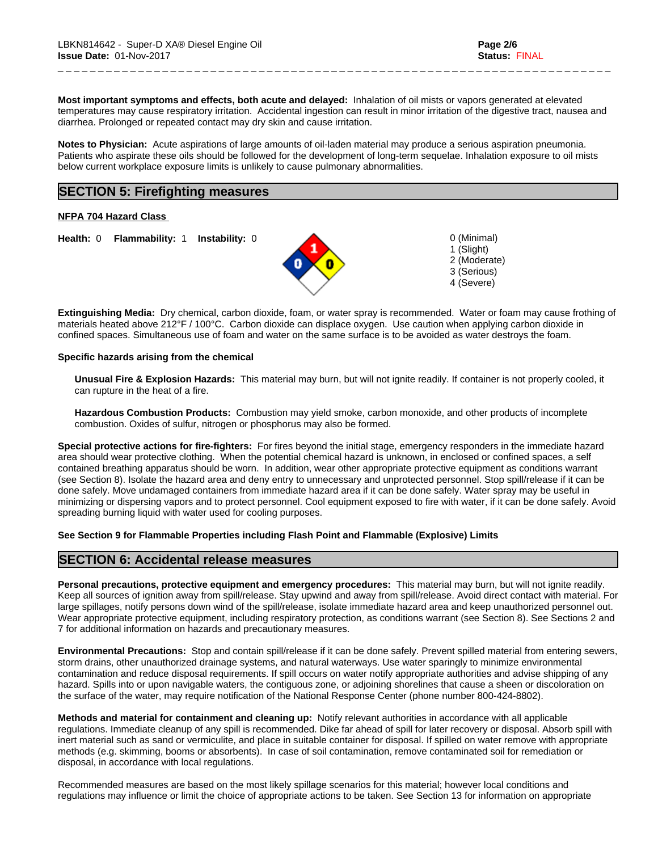**Most important symptoms and effects, both acute and delayed:** Inhalation of oil mists or vapors generated at elevated temperatures may cause respiratory irritation. Accidental ingestion can result in minor irritation of the digestive tract, nausea and diarrhea. Prolonged or repeated contact may dry skin and cause irritation.

\_ \_ \_ \_ \_ \_ \_ \_ \_ \_ \_ \_ \_ \_ \_ \_ \_ \_ \_ \_ \_ \_ \_ \_ \_ \_ \_ \_ \_ \_ \_ \_ \_ \_ \_ \_ \_ \_ \_ \_ \_ \_ \_ \_ \_ \_ \_ \_ \_ \_ \_ \_ \_ \_ \_ \_ \_ \_ \_ \_ \_ \_ \_ \_ \_ \_ \_ \_ \_

**Notes to Physician:**Acute aspirations of large amounts of oil-laden material may produce a serious aspiration pneumonia. Patients who aspirate these oils should be followed for the development of long-term sequelae. Inhalation exposure to oil mists below current workplace exposure limits is unlikely to cause pulmonary abnormalities.

# **SECTION 5: Firefighting measures**

**NFPA 704 Hazard Class**

**Health:** 0 **Flammability:** 1 **Instability:** 0 0 (Minimal)



1 (Slight) 2 (Moderate) 3 (Serious) 4 (Severe)

**Extinguishing Media:** Dry chemical, carbon dioxide, foam, or water spray is recommended. Water or foam may cause frothing of materials heated above 212°F / 100°C. Carbon dioxide can displace oxygen. Use caution when applying carbon dioxide in confined spaces. Simultaneous use of foam and water on the same surface is to be avoided as water destroys the foam.

#### **Specific hazards arising from the chemical**

**Unusual Fire & Explosion Hazards:** This material may burn, butwill not ignite readily. If container is not properly cooled, it can rupture in the heat of a fire.

**Hazardous Combustion Products:** Combustion may yield smoke, carbon monoxide, and other products of incomplete combustion. Oxides of sulfur, nitrogen or phosphorus may also be formed.

**Special protective actions for fire-fighters:** For fires beyond the initial stage, emergency responders in the immediate hazard area should wear protective clothing. When the potential chemical hazard is unknown, in enclosed or confined spaces, a self contained breathing apparatus should be worn. In addition, wear other appropriate protective equipment as conditions warrant (see Section 8). Isolate the hazard area and deny entry to unnecessary and unprotected personnel. Stop spill/release if it can be done safely. Move undamaged containers from immediate hazard area if it can be done safely. Water spray may be useful in minimizing or dispersing vapors and to protect personnel. Cool equipment exposed to fire with water, if it can be done safely. Avoid spreading burning liquid with water used for cooling purposes.

#### **See Section 9 for Flammable Properties including Flash Point and Flammable (Explosive) Limits**

### **SECTION 6: Accidental release measures**

**Personal precautions, protective equipment and emergency procedures:** This material may burn, butwill not ignite readily. Keep all sources of ignition away from spill/release. Stay upwind and away from spill/release. Avoid direct contact with material. For large spillages, notify persons down wind of the spill/release, isolate immediate hazard area and keep unauthorized personnel out. Wear appropriate protective equipment, including respiratory protection, as conditions warrant (see Section 8). See Sections 2 and 7 for additional information on hazards and precautionary measures.

**Environmental Precautions:** Stop and contain spill/release if it can be done safely. Prevent spilled material from entering sewers, storm drains, other unauthorized drainage systems, and natural waterways. Use water sparingly to minimize environmental contamination and reduce disposal requirements. If spill occurs on water notify appropriate authorities and advise shipping of any hazard. Spills into or upon navigable waters, the contiguous zone, or adjoining shorelines that cause a sheen or discoloration on the surface of the water, may require notification of the National Response Center (phone number 800-424-8802).

**Methods and material for containment and cleaning up:** Notify relevant authorities in accordance with all applicable regulations. Immediate cleanup of any spill is recommended. Dike far ahead of spill for later recovery or disposal. Absorb spill with inert material such as sand or vermiculite, and place in suitable container for disposal. If spilled on water remove with appropriate methods (e.g. skimming, booms or absorbents). In case of soil contamination, remove contaminated soil for remediation or disposal, in accordance with local regulations.

Recommended measures are based on the most likely spillage scenarios for this material; however local conditions and regulations may influence or limit the choice of appropriate actions to be taken. See Section 13 for information on appropriate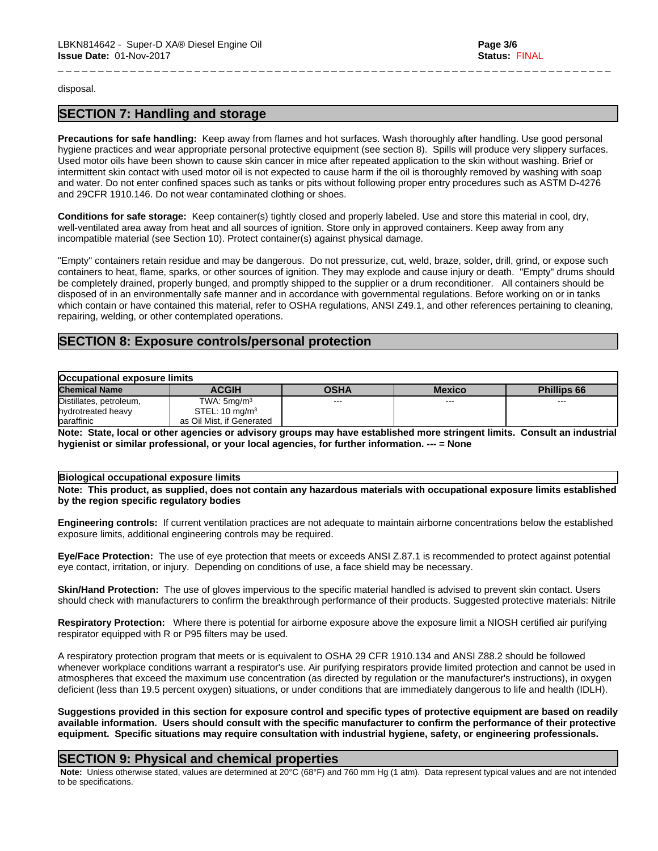disposal.

# **SECTION 7: Handling and storage**

**Precautions for safe handling:** Keep away from flames and hot surfaces. Wash thoroughly after handling. Use good personal hygiene practices and wear appropriate personal protective equipment (see section 8). Spills will produce very slippery surfaces. Used motor oils have been shown to cause skin cancer in mice after repeated application to the skin without washing. Brief or intermittent skin contact with used motor oil is not expected to cause harm if the oil is thoroughly removed by washing with soap and water. Do not enter confined spaces such as tanks or pits without following proper entry procedures such as ASTM D-4276 and 29CFR 1910.146. Do not wear contaminated clothing or shoes.

\_ \_ \_ \_ \_ \_ \_ \_ \_ \_ \_ \_ \_ \_ \_ \_ \_ \_ \_ \_ \_ \_ \_ \_ \_ \_ \_ \_ \_ \_ \_ \_ \_ \_ \_ \_ \_ \_ \_ \_ \_ \_ \_ \_ \_ \_ \_ \_ \_ \_ \_ \_ \_ \_ \_ \_ \_ \_ \_ \_ \_ \_ \_ \_ \_ \_ \_ \_ \_

**Conditions for safe storage:**Keep container(s) tightly closed and properly labeled. Use and store this material in cool, dry, well-ventilated area away from heat and all sources of ignition. Store only in approved containers. Keep away from any incompatible material (see Section 10). Protect container(s) against physical damage.

"Empty" containers retain residue and may be dangerous. Do not pressurize, cut, weld, braze, solder, drill, grind, or expose such containers to heat, flame, sparks, or other sources of ignition. They may explode and cause injury or death."Empty" drums should be completely drained, properly bunged, and promptly shipped to the supplier or a drum reconditioner. All containers should be disposed of in an environmentally safe manner and in accordance with governmental regulations. Before working on or in tanks which contain or have contained this material, refer to OSHA regulations, ANSI Z49.1, and other references pertaining to cleaning, repairing, welding, or other contemplated operations.

# **SECTION 8: Exposure controls/personal protection**

| Occupational exposure limits |                           |      |               |                        |
|------------------------------|---------------------------|------|---------------|------------------------|
| <b>Chemical Name</b>         | <b>ACGIH</b>              | OSHA | <b>Mexico</b> | <b>Phillips 66</b>     |
| Distillates, petroleum,      | TWA: $5 \text{mq/m}^3$    | ---  | $\cdots$      | $\qquad \qquad \cdots$ |
| hydrotreated heavy           | STEL: $10 \text{ mg/m}^3$ |      |               |                        |
| baraffinic                   | as Oil Mist, if Generated |      |               |                        |
| .<br>.                       | . .                       |      | <br>. .       | .<br>.                 |

Note: State, local or other agencies or advisory groups may have established more stringent limits. Consult an industrial **hygienist or similar professional, or your local agencies, for further information. --- = None**

#### **Biological occupational exposure limits**

Note: This product, as supplied, does not contain any hazardous materials with occupational exposure limits established **by the region specific regulatory bodies**

**Engineering controls:** If current ventilation practices are not adequate to maintain airborne concentrations below the established exposure limits, additional engineering controls may be required.

**Eye/Face Protection:** The use of eye protection that meets or exceeds ANSI Z.87.1 isrecommended to protect against potential eye contact, irritation, or injury. Depending on conditions of use, a face shield may be necessary.

**Skin/Hand Protection:** The use of gloves impervious to the specific material handled is advised to prevent skin contact. Users should check with manufacturers to confirm the breakthrough performance of their products. Suggested protective materials: Nitrile

**Respiratory Protection:** Where there is potential for airborne exposure above the exposure limit a NIOSH certified air purifying respirator equipped with R or P95 filters may be used.

A respiratory protection program that meets or is equivalent to OSHA 29 CFR 1910.134 and ANSI Z88.2 should be followed whenever workplace conditions warrant a respirator's use. Air purifying respirators provide limited protection and cannot be used in atmospheres that exceed the maximum use concentration (as directed by regulation or the manufacturer's instructions), in oxygen deficient (less than 19.5 percent oxygen) situations, or under conditions that are immediately dangerous to life and health (IDLH).

Suggestions provided in this section for exposure control and specific types of protective equipment are based on readily available information. Users should consult with the specific manufacturer to confirm the performance of their protective **equipment. Specific situations may require consultation with industrial hygiene, safety, or engineering professionals.**

### **SECTION 9: Physical and chemical properties**

 **Note:** Unless otherwise stated, values are determined at 20°C (68°F) and 760 mm Hg (1 atm). Data represent typical values and are not intended to be specifications.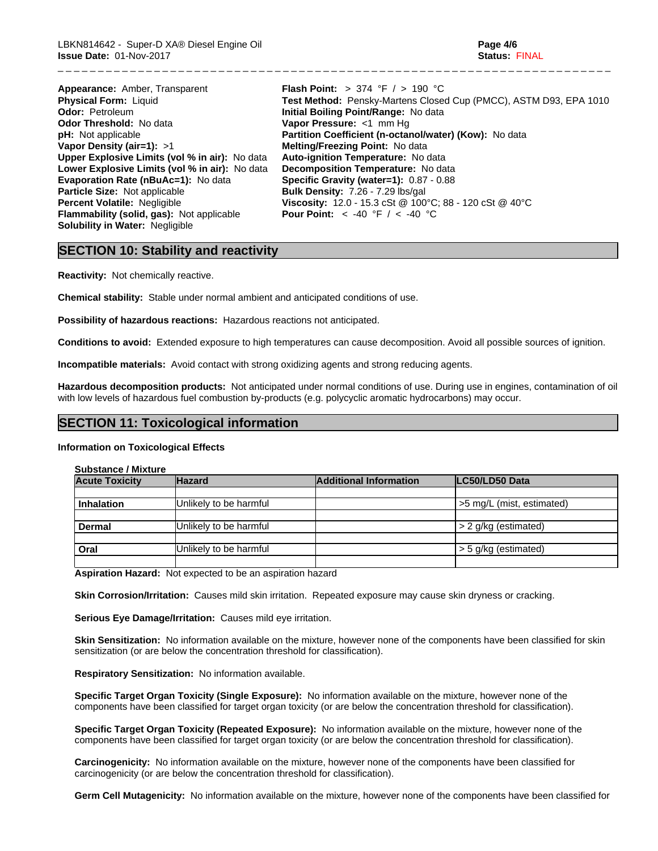LBKN814642 - Super-D XA® Diesel Engine Oil **Page 4/6 Issue Date:** 01-Nov-2017 **Status:** FINAL

| Appearance: Amber, Transparent                        | <b>Flash Point:</b> > 374 °F $/$ > 190 °C                         |
|-------------------------------------------------------|-------------------------------------------------------------------|
| <b>Physical Form: Liquid</b>                          | Test Method: Pensky-Martens Closed Cup (PMCC), ASTM D93, EPA 1010 |
| <b>Odor: Petroleum</b>                                | Initial Boiling Point/Range: No data                              |
| <b>Odor Threshold: No data</b>                        | Vapor Pressure: <1 mm Hq                                          |
| <b>pH:</b> Not applicable                             | Partition Coefficient (n-octanol/water) (Kow): No data            |
| Vapor Density (air=1): $>1$                           | Melting/Freezing Point: No data                                   |
| <b>Upper Explosive Limits (vol % in air):</b> No data | Auto-ignition Temperature: No data                                |
| Lower Explosive Limits (vol % in air): No data        | Decomposition Temperature: No data                                |
| <b>Evaporation Rate (nBuAc=1): No data</b>            | Specific Gravity (water=1): 0.87 - 0.88                           |
| <b>Particle Size:</b> Not applicable                  | <b>Bulk Density: 7.26 - 7.29 lbs/gal</b>                          |
| <b>Percent Volatile: Negligible</b>                   | <b>Viscosity:</b> 12.0 - 15.3 cSt @ 100°C; 88 - 120 cSt @ 40°C    |
| <b>Flammability (solid, gas):</b> Not applicable      | <b>Pour Point:</b> $\le$ -40 °F / $\le$ -40 °C                    |
| <b>Solubility in Water: Negligible</b>                |                                                                   |

\_ \_ \_ \_ \_ \_ \_ \_ \_ \_ \_ \_ \_ \_ \_ \_ \_ \_ \_ \_ \_ \_ \_ \_ \_ \_ \_ \_ \_ \_ \_ \_ \_ \_ \_ \_ \_ \_ \_ \_ \_ \_ \_ \_ \_ \_ \_ \_ \_ \_ \_ \_ \_ \_ \_ \_ \_ \_ \_ \_ \_ \_ \_ \_ \_ \_ \_ \_ \_

# **SECTION 10: Stability and reactivity**

**Reactivity:** Not chemically reactive.

**Chemical stability:** Stable under normal ambient and anticipated conditions of use.

**Possibility of hazardous reactions:** Hazardous reactions not anticipated.

**Conditions to avoid:** Extended exposure to high temperatures can cause decomposition. Avoid all possible sources of ignition.

**Incompatible materials:** Avoid contact with strong oxidizing agents and strong reducing agents.

**Hazardous decomposition products:** Not anticipated under normal conditions of use. During use in engines, contamination of oil with low levels of hazardous fuel combustion by-products (e.g. polycyclic aromatic hydrocarbons) may occur.

## **SECTION 11: Toxicological information**

#### **Information on Toxicological Effects**

**Substance / Mixture**

| <b>Hazard</b>          | <b>Additional Information</b> | LC50/LD50 Data            |
|------------------------|-------------------------------|---------------------------|
|                        |                               |                           |
|                        |                               | >5 mg/L (mist, estimated) |
| Unlikely to be harmful |                               | > 2 g/kg (estimated)      |
| Unlikely to be harmful |                               | > 5 g/kg (estimated)      |
|                        | Unlikely to be harmful        |                           |

**Aspiration Hazard:** Not expected to be an aspiration hazard

**Skin Corrosion/Irritation:** Causes mild skin irritation. Repeated exposure may cause skin dryness or cracking.

**Serious Eye Damage/Irritation:** Causes mild eye irritation.

**Skin Sensitization:** No information available on the mixture, however none of the components have been classified for skin sensitization (or are below the concentration threshold for classification).

**Respiratory Sensitization:** No information available.

**Specific Target Organ Toxicity (Single Exposure):** No information available on the mixture, however none of the components have been classified for target organ toxicity (or are below the concentration threshold for classification).

**Specific Target Organ Toxicity (Repeated Exposure):** No information available on the mixture, however none of the components have been classified for target organ toxicity (or are below the concentration threshold for classification).

**Carcinogenicity:** No information available on the mixture, however none of the components have been classified for carcinogenicity (or are below the concentration threshold for classification).

**Germ Cell Mutagenicity:** No information available on the mixture, however none of the components have been classified for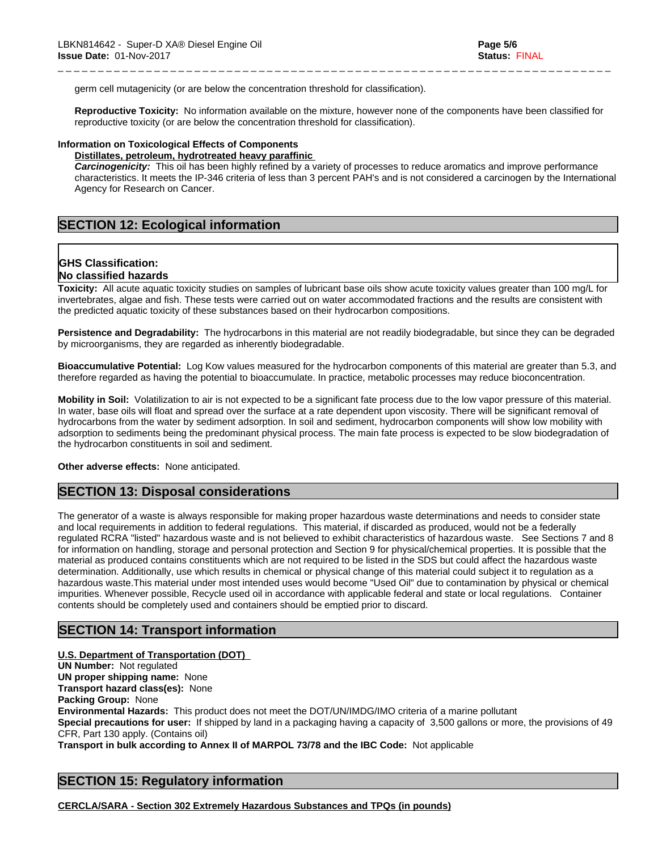germ cell mutagenicity (or are below the concentration threshold for classification).

**Reproductive Toxicity:** No information available on the mixture, however none of the components have been classified for reproductive toxicity (or are below the concentration threshold for classification).

\_ \_ \_ \_ \_ \_ \_ \_ \_ \_ \_ \_ \_ \_ \_ \_ \_ \_ \_ \_ \_ \_ \_ \_ \_ \_ \_ \_ \_ \_ \_ \_ \_ \_ \_ \_ \_ \_ \_ \_ \_ \_ \_ \_ \_ \_ \_ \_ \_ \_ \_ \_ \_ \_ \_ \_ \_ \_ \_ \_ \_ \_ \_ \_ \_ \_ \_ \_ \_

#### **Information on Toxicological Effects of Components**

#### **Distillates, petroleum, hydrotreated heavy paraffinic**

*Carcinogenicity:* This oil has been highly refined by a variety of processes to reduce aromatics and improve performance characteristics. It meets the IP-346 criteria of less than 3 percent PAH's and isnot considered a carcinogen by the International Agency for Research on Cancer.

# **SECTION 12: Ecological information**

# **GHS Classification:**

# **No classified hazards**

**Toxicity:** All acute aquatic toxicity studies on samples of lubricant base oils show acute toxicity values greater than 100 mg/L for invertebrates, algae and fish. These tests were carried out on water accommodated fractions and the results are consistent with the predicted aquatic toxicity of these substances based on their hydrocarbon compositions.

**Persistence and Degradability:** The hydrocarbons in this material are not readily biodegradable, but since they can be degraded by microorganisms, they are regarded as inherently biodegradable.

**Bioaccumulative Potential:** Log Kow values measured for the hydrocarbon components of this material are greater than 5.3, and therefore regarded as having the potential to bioaccumulate. In practice, metabolic processes may reduce bioconcentration.

**Mobility in Soil:** Volatilization to air is not expected to be a significant fate process due to the low vapor pressure of this material. In water, base oils will float and spread over the surface at a rate dependent upon viscosity. There will be significant removal of hydrocarbons from the water by sediment adsorption. In soil and sediment, hydrocarbon components will show low mobility with adsorption to sediments being the predominant physical process. The main fate process is expected to be slow biodegradation of the hydrocarbon constituents in soil and sediment.

**Other adverse effects:** None anticipated.

# **SECTION 13: Disposal considerations**

The generator of a waste is always responsible for making proper hazardous waste determinations and needs to consider state and local requirements in addition to federal regulations. This material, if discarded as produced, would not be a federally regulated RCRA "listed" hazardous waste and is not believed to exhibit characteristics of hazardous waste. See Sections 7 and 8 for information on handling, storage and personal protection and Section 9 for physical/chemical properties. It is possible that the material as produced contains constituents which are not required to be listed in the SDS but could affect the hazardous waste determination. Additionally, use which results in chemical or physical change of this material could subject it to regulation as a hazardous waste.This material under most intended uses would become "Used Oil" due to contamination by physical or chemical impurities. Whenever possible, Recycle used oil in accordance with applicable federal and state or local regulations. Container contents should be completely used and containers should be emptied prior to discard.

### **SECTION 14: Transport information**

**U.S. Department of Transportation (DOT) UN Number:** Not regulated **UN proper shipping name:** None **Transport hazard class(es):** None **Packing Group:** None **Environmental Hazards:** This product does not meet the DOT/UN/IMDG/IMO criteria of a marine pollutant **Special precautions for user:** If shipped by land in a packaging having a capacity of 3,500 gallons or more, the provisions of 49 CFR, Part 130 apply. (Contains oil) **Transport in bulk according to Annex II of MARPOL 73/78 and the IBC Code:** Not applicable

# **SECTION 15: Regulatory information**